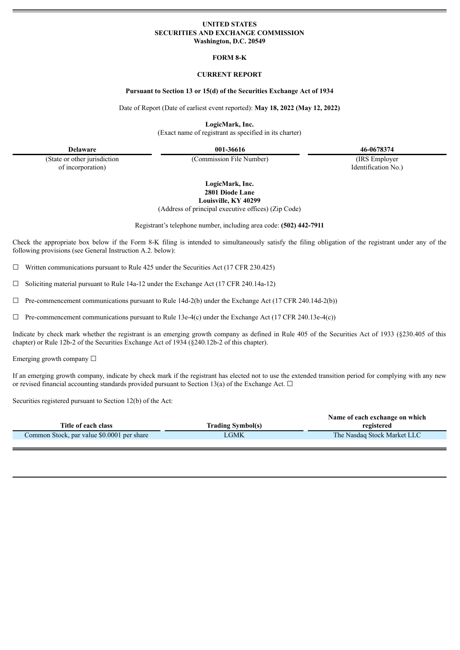# **UNITED STATES SECURITIES AND EXCHANGE COMMISSION Washington, D.C. 20549**

**FORM 8-K**

# **CURRENT REPORT**

#### **Pursuant to Section 13 or 15(d) of the Securities Exchange Act of 1934**

Date of Report (Date of earliest event reported): **May 18, 2022 (May 12, 2022)**

**LogicMark, Inc.**

(Exact name of registrant as specified in its charter)

(State or other jurisdiction of incorporation)

(Commission File Number) (IRS Employer

**Delaware 001-36616 46-0678374**

Identification No.)

# **LogicMark, Inc. 2801 Diode Lane Louisville, KY 40299**

(Address of principal executive offices) (Zip Code)

Registrant's telephone number, including area code: **(502) 442-7911**

Check the appropriate box below if the Form 8-K filing is intended to simultaneously satisfy the filing obligation of the registrant under any of the following provisions (see General Instruction A.2. below):

 $\Box$  Written communications pursuant to Rule 425 under the Securities Act (17 CFR 230.425)

 $\Box$  Soliciting material pursuant to Rule 14a-12 under the Exchange Act (17 CFR 240.14a-12)

 $\Box$  Pre-commencement communications pursuant to Rule 14d-2(b) under the Exchange Act (17 CFR 240.14d-2(b))

 $\Box$  Pre-commencement communications pursuant to Rule 13e-4(c) under the Exchange Act (17 CFR 240.13e-4(c))

Indicate by check mark whether the registrant is an emerging growth company as defined in Rule 405 of the Securities Act of 1933 (§230.405 of this chapter) or Rule 12b-2 of the Securities Exchange Act of 1934 (§240.12b-2 of this chapter).

Emerging growth company  $\Box$ 

If an emerging growth company, indicate by check mark if the registrant has elected not to use the extended transition period for complying with any new or revised financial accounting standards provided pursuant to Section 13(a) of the Exchange Act.  $\Box$ 

Securities registered pursuant to Section 12(b) of the Act:

|                                            | Name of each exchange on which |                             |  |  |
|--------------------------------------------|--------------------------------|-----------------------------|--|--|
| Title of each class                        | Trading Symbol(s)              | registered                  |  |  |
| Common Stock, par value \$0.0001 per share | LGMK                           | The Nasdaq Stock Market LLC |  |  |
|                                            |                                |                             |  |  |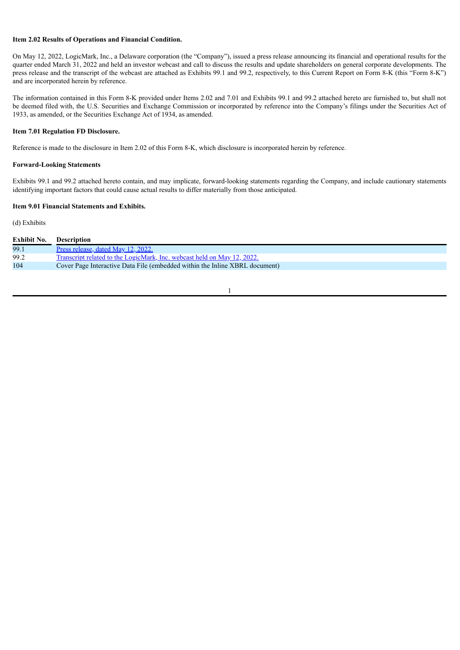# **Item 2.02 Results of Operations and Financial Condition.**

On May 12, 2022, LogicMark, Inc., a Delaware corporation (the "Company"), issued a press release announcing its financial and operational results for the quarter ended March 31, 2022 and held an investor webcast and call to discuss the results and update shareholders on general corporate developments. The press release and the transcript of the webcast are attached as Exhibits 99.1 and 99.2, respectively, to this Current Report on Form 8-K (this "Form 8-K") and are incorporated herein by reference.

The information contained in this Form 8-K provided under Items 2.02 and 7.01 and Exhibits 99.1 and 99.2 attached hereto are furnished to, but shall not be deemed filed with, the U.S. Securities and Exchange Commission or incorporated by reference into the Company's filings under the Securities Act of 1933, as amended, or the Securities Exchange Act of 1934, as amended.

### **Item 7.01 Regulation FD Disclosure.**

Reference is made to the disclosure in Item 2.02 of this Form 8-K, which disclosure is incorporated herein by reference.

# **Forward-Looking Statements**

Exhibits 99.1 and 99.2 attached hereto contain, and may implicate, forward-looking statements regarding the Company, and include cautionary statements identifying important factors that could cause actual results to differ materially from those anticipated.

#### **Item 9.01 Financial Statements and Exhibits.**

#### (d) Exhibits

| <b>Exhibit No.</b> | <b>Description</b>                                                          |
|--------------------|-----------------------------------------------------------------------------|
| 99.1               | Press release, dated May 12, 2022.                                          |
| 99.2               | Transcript related to the LogicMark, Inc. webcast held on May 12, 2022.     |
| 104                | Cover Page Interactive Data File (embedded within the Inline XBRL document) |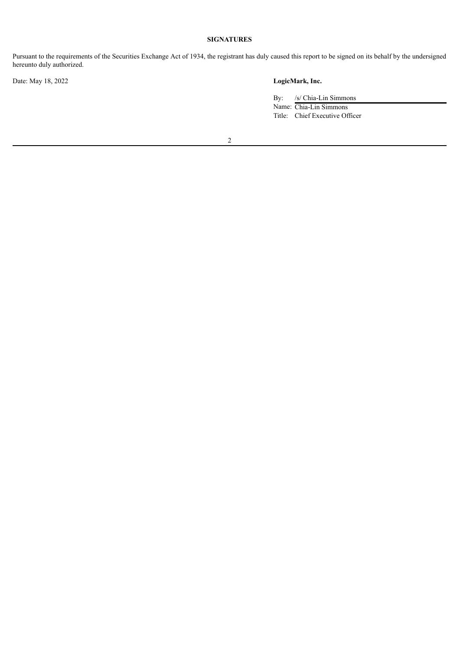# **SIGNATURES**

Pursuant to the requirements of the Securities Exchange Act of 1934, the registrant has duly caused this report to be signed on its behalf by the undersigned hereunto duly authorized.

Date: May 18, 2022 **LogicMark, Inc.**

By: /s/ Chia-Lin Simmons Name: Chia-Lin Simmons Title: Chief Executive Officer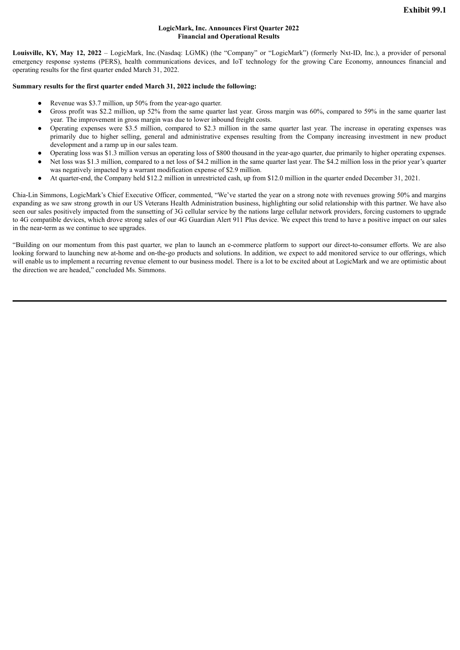# **LogicMark, Inc. Announces First Quarter 2022 Financial and Operational Results**

<span id="page-3-0"></span>**Louisville, KY, May 12, 2022** – LogicMark, Inc.(Nasdaq: LGMK) (the "Company" or "LogicMark") (formerly Nxt-ID, Inc.), a provider of personal emergency response systems (PERS), health communications devices, and IoT technology for the growing Care Economy, announces financial and operating results for the first quarter ended March 31, 2022.

# **Summary results for the first quarter ended March 31, 2022 include the following:**

- Revenue was \$3.7 million, up 50% from the year-ago quarter.
- Gross profit was \$2.2 million, up 52% from the same quarter last year. Gross margin was 60%, compared to 59% in the same quarter last year. The improvement in gross margin was due to lower inbound freight costs.
- Operating expenses were \$3.5 million, compared to \$2.3 million in the same quarter last year. The increase in operating expenses was primarily due to higher selling, general and administrative expenses resulting from the Company increasing investment in new product development and a ramp up in our sales team.
- Operating loss was \$1.3 million versus an operating loss of \$800 thousand in the year-ago quarter, due primarily to higher operating expenses.
- Net loss was \$1.3 million, compared to a net loss of \$4.2 million in the same quarter last year. The \$4.2 million loss in the prior year's quarter was negatively impacted by a warrant modification expense of \$2.9 million.
- At quarter-end, the Company held \$12.2 million in unrestricted cash, up from \$12.0 million in the quarter ended December 31, 2021.

Chia-Lin Simmons, LogicMark's Chief Executive Officer, commented, "We've started the year on a strong note with revenues growing 50% and margins expanding as we saw strong growth in our US Veterans Health Administration business, highlighting our solid relationship with this partner. We have also seen our sales positively impacted from the sunsetting of 3G cellular service by the nations large cellular network providers, forcing customers to upgrade to 4G compatible devices, which drove strong sales of our 4G Guardian Alert 911 Plus device. We expect this trend to have a positive impact on our sales in the near-term as we continue to see upgrades.

"Building on our momentum from this past quarter, we plan to launch an e-commerce platform to support our direct-to-consumer efforts. We are also looking forward to launching new at-home and on-the-go products and solutions. In addition, we expect to add monitored service to our offerings, which will enable us to implement a recurring revenue element to our business model. There is a lot to be excited about at LogicMark and we are optimistic about the direction we are headed," concluded Ms. Simmons.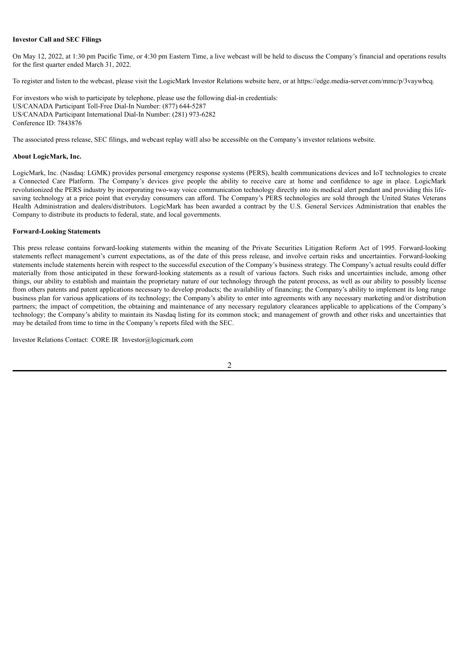#### **Investor Call and SEC Filings**

On May 12, 2022, at 1:30 pm Pacific Time, or 4:30 pm Eastern Time, a live webcast will be held to discuss the Company's financial and operations results for the first quarter ended March 31, 2022.

To register and listen to the webcast, please visit the LogicMark Investor Relations website here, or at https://edge.media-server.com/mmc/p/3vaywbcq.

For investors who wish to participate by telephone, please use the following dial-in credentials: US/CANADA Participant Toll-Free Dial-In Number: (877) 644-5287 US/CANADA Participant International Dial-In Number: (281) 973-6282 Conference ID: 7843876

The associated press release, SEC filings, and webcast replay witll also be accessible on the Company's investor relations website.

#### **About LogicMark, Inc.**

LogicMark, Inc. (Nasdaq: LGMK) provides personal emergency response systems (PERS), health communications devices and IoT technologies to create a Connected Care Platform. The Company's devices give people the ability to receive care at home and confidence to age in place. LogicMark revolutionized the PERS industry by incorporating two-way voice communication technology directly into its medical alert pendant and providing this lifesaving technology at a price point that everyday consumers can afford. The Company's PERS technologies are sold through the United States Veterans Health Administration and dealers/distributors. LogicMark has been awarded a contract by the U.S. General Services Administration that enables the Company to distribute its products to federal, state, and local governments.

#### **Forward-Looking Statements**

This press release contains forward-looking statements within the meaning of the Private Securities Litigation Reform Act of 1995. Forward-looking statements reflect management's current expectations, as of the date of this press release, and involve certain risks and uncertainties. Forward-looking statements include statements herein with respect to the successful execution of the Company's business strategy. The Company's actual results could differ materially from those anticipated in these forward-looking statements as a result of various factors. Such risks and uncertainties include, among other things, our ability to establish and maintain the proprietary nature of our technology through the patent process, as well as our ability to possibly license from others patents and patent applications necessary to develop products; the availability of financing; the Company's ability to implement its long range business plan for various applications of its technology; the Company's ability to enter into agreements with any necessary marketing and/or distribution partners; the impact of competition, the obtaining and maintenance of any necessary regulatory clearances applicable to applications of the Company's technology; the Company's ability to maintain its Nasdaq listing for its common stock; and management of growth and other risks and uncertainties that may be detailed from time to time in the Company's reports filed with the SEC.

Investor Relations Contact: CORE IR Investor@logicmark.com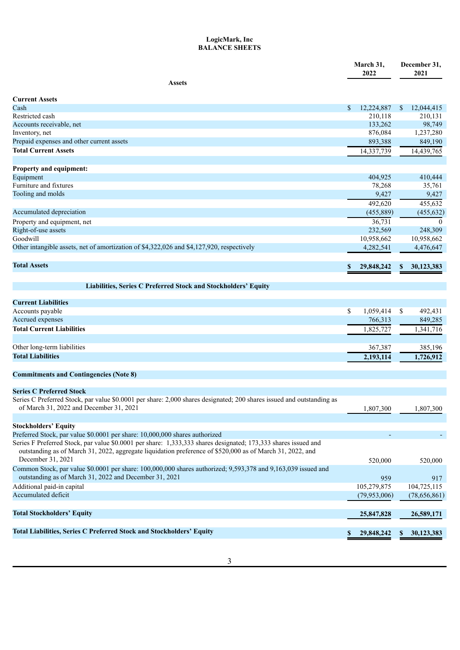# **LogicMark, Inc BALANCE SHEETS**

|                                                                                                                       |    | March 31,<br>2022 |               | December 31,<br>2021 |
|-----------------------------------------------------------------------------------------------------------------------|----|-------------------|---------------|----------------------|
| <b>Assets</b>                                                                                                         |    |                   |               |                      |
|                                                                                                                       |    |                   |               |                      |
| Current Assets<br>Cash                                                                                                | \$ | 12,224,887        | <sup>\$</sup> | 12,044,415           |
| Restricted cash                                                                                                       |    | 210,118           |               | 210,131              |
| Accounts receivable, net                                                                                              |    | 133,262           |               | 98,749               |
| Inventory, net                                                                                                        |    | 876,084           |               | 1,237,280            |
| Prepaid expenses and other current assets                                                                             |    | 893,388           |               | 849,190              |
| <b>Total Current Assets</b>                                                                                           |    | 14,337,739        |               | 14,439,765           |
|                                                                                                                       |    |                   |               |                      |
| <b>Property and equipment:</b>                                                                                        |    |                   |               |                      |
| Equipment                                                                                                             |    | 404,925           |               | 410,444              |
| Furniture and fixtures                                                                                                |    | 78,268            |               | 35,761               |
| Tooling and molds                                                                                                     |    | 9,427             |               | 9,427                |
|                                                                                                                       |    | 492,620           |               | 455,632              |
| Accumulated depreciation                                                                                              |    | (455, 889)        |               | (455, 632)           |
| Property and equipment, net                                                                                           |    | 36,731            |               | $\theta$             |
| Right-of-use assets                                                                                                   |    | 232,569           |               | 248,309              |
| Goodwill                                                                                                              |    | 10,958,662        |               | 10,958,662           |
| Other intangible assets, net of amortization of \$4,322,026 and \$4,127,920, respectively                             |    | 4,282,541         |               | 4,476,647            |
|                                                                                                                       |    |                   |               |                      |
| <b>Total Assets</b>                                                                                                   | S. | 29,848,242        | S.            | 30,123,383           |
|                                                                                                                       |    |                   |               |                      |
| Liabilities, Series C Preferred Stock and Stockholders' Equity                                                        |    |                   |               |                      |
|                                                                                                                       |    |                   |               |                      |
| <b>Current Liabilities</b>                                                                                            |    |                   |               |                      |
| Accounts payable                                                                                                      | S. | 1,059,414         | \$            | 492,431              |
| Accrued expenses                                                                                                      |    | 766,313           |               | 849,285              |
| <b>Total Current Liabilities</b>                                                                                      |    | 1,825,727         |               | 1,341,716            |
|                                                                                                                       |    |                   |               |                      |
| Other long-term liabilities                                                                                           |    | 367,387           |               | 385,196              |
| <b>Total Liabilities</b>                                                                                              |    | 2,193,114         |               | 1,726,912            |
|                                                                                                                       |    |                   |               |                      |
| <b>Commitments and Contingencies (Note 8)</b>                                                                         |    |                   |               |                      |
| <b>Series C Preferred Stock</b>                                                                                       |    |                   |               |                      |
| Series C Preferred Stock, par value \$0.0001 per share: 2,000 shares designated; 200 shares issued and outstanding as |    |                   |               |                      |
| of March 31, 2022 and December 31, 2021                                                                               |    | 1,807,300         |               | 1,807,300            |
|                                                                                                                       |    |                   |               |                      |
| <b>Stockholders' Equity</b>                                                                                           |    |                   |               |                      |
| Preferred Stock, par value \$0.0001 per share: 10,000,000 shares authorized                                           |    |                   |               |                      |
| Series F Preferred Stock, par value \$0.0001 per share: 1,333,333 shares designated; 173,333 shares issued and        |    |                   |               |                      |
| outstanding as of March 31, 2022, aggregate liquidation preference of \$520,000 as of March 31, 2022, and             |    |                   |               |                      |
| December 31, 2021                                                                                                     |    | 520,000           |               | 520,000              |
| Common Stock, par value \$0.0001 per share: 100,000,000 shares authorized; 9,593,378 and 9,163,039 issued and         |    |                   |               |                      |
| outstanding as of March 31, 2022 and December 31, 2021                                                                |    | 959               |               | 917                  |
| Additional paid-in capital                                                                                            |    | 105,279,875       |               | 104,725,115          |
| Accumulated deficit                                                                                                   |    | (79, 953, 006)    |               | (78,656,861)         |
|                                                                                                                       |    |                   |               |                      |
| <b>Total Stockholders' Equity</b>                                                                                     |    | 25,847,828        |               | 26,589,171           |
|                                                                                                                       |    |                   |               |                      |
| Total Liabilities, Series C Preferred Stock and Stockholders' Equity                                                  | S. | 29,848,242        | S.            | 30,123,383           |
|                                                                                                                       |    |                   |               |                      |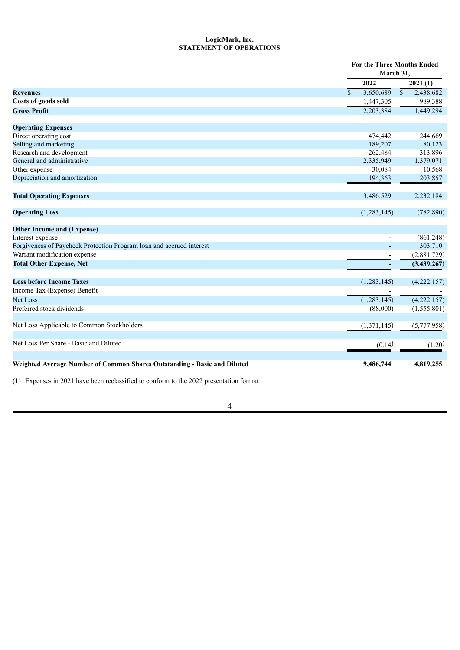# **LogicMark, Inc. STATEMENT OF OPERATIONS**

|                                                                          |                           | For the Three Months Ended<br>March 31, |  |  |
|--------------------------------------------------------------------------|---------------------------|-----------------------------------------|--|--|
|                                                                          | 2022                      | 2021(1)                                 |  |  |
| <b>Revenues</b>                                                          | 3,650,689<br>$\mathbf{s}$ | $\mathsf{\$}$<br>2,438,682              |  |  |
| Costs of goods sold                                                      | 1,447,305                 | 989,388                                 |  |  |
| <b>Gross Profit</b>                                                      | 2,203,384                 | 1,449,294                               |  |  |
| <b>Operating Expenses</b>                                                |                           |                                         |  |  |
| Direct operating cost                                                    | 474,442                   | 244,669                                 |  |  |
| Selling and marketing                                                    | 189,207                   | 80,123                                  |  |  |
| Research and development                                                 | 262,484                   | 313,896                                 |  |  |
| General and administrative                                               | 2,335,949                 | 1,379,071                               |  |  |
| Other expense                                                            | 30,084                    | 10,568                                  |  |  |
| Depreciation and amortization                                            | 194,363                   | 203,857                                 |  |  |
| <b>Total Operating Expenses</b>                                          | 3,486,529                 | 2,232,184                               |  |  |
| <b>Operating Loss</b>                                                    | (1,283,145)               | (782, 890)                              |  |  |
| <b>Other Income and (Expense)</b>                                        |                           |                                         |  |  |
| Interest expense                                                         |                           | (861,248)                               |  |  |
| Forgiveness of Paycheck Protection Program loan and accrued interest     | ٠                         | 303,710                                 |  |  |
| Warrant modification expense                                             |                           | (2,881,729)                             |  |  |
| <b>Total Other Expense, Net</b>                                          |                           | (3,439,267)                             |  |  |
| <b>Loss before Income Taxes</b>                                          | (1,283,145)               | (4,222,157)                             |  |  |
| Income Tax (Expense) Benefit                                             |                           |                                         |  |  |
| <b>Net Loss</b>                                                          | (1,283,145)               | (4,222,157)                             |  |  |
| Preferred stock dividends                                                | (88,000)                  | (1, 555, 801)                           |  |  |
| Net Loss Applicable to Common Stockholders                               | (1,371,145)               | (5,777,958)                             |  |  |
| Net Loss Per Share - Basic and Diluted                                   | (0.14)                    | (1.20)                                  |  |  |
| Weighted Average Number of Common Shares Outstanding - Basic and Diluted | 9,486,744                 | 4,819,255                               |  |  |

(1) Expenses in 2021 have been reclassified to conform to the 2022 presentation format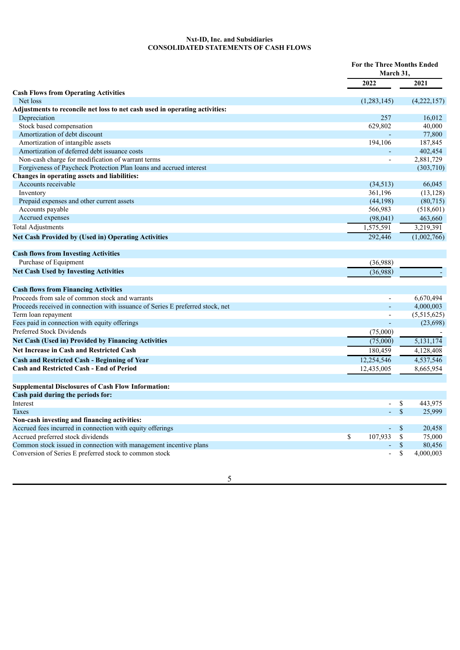# **Nxt-ID, Inc. and Subsidiaries CONSOLIDATED STATEMENTS OF CASH FLOWS**

|                                                                                |                          | <b>For the Three Months Ended</b><br>March 31, |  |  |
|--------------------------------------------------------------------------------|--------------------------|------------------------------------------------|--|--|
|                                                                                | 2022                     | 2021                                           |  |  |
| <b>Cash Flows from Operating Activities</b>                                    |                          |                                                |  |  |
| Net loss                                                                       | (1,283,145)              | (4,222,157)                                    |  |  |
| Adjustments to reconcile net loss to net cash used in operating activities:    |                          |                                                |  |  |
| Depreciation                                                                   | 257                      | 16,012                                         |  |  |
| Stock based compensation                                                       | 629,802                  | 40,000                                         |  |  |
| Amortization of debt discount                                                  |                          | 77,800                                         |  |  |
| Amortization of intangible assets                                              | 194,106                  | 187,845                                        |  |  |
| Amortization of deferred debt issuance costs                                   |                          | 402,454                                        |  |  |
| Non-cash charge for modification of warrant terms                              | L,                       | 2,881,729                                      |  |  |
| Forgiveness of Paycheck Protection Plan loans and accrued interest             |                          | (303, 710)                                     |  |  |
| Changes in operating assets and liabilities:                                   |                          |                                                |  |  |
| Accounts receivable                                                            | (34,513)                 | 66,045                                         |  |  |
| Inventory                                                                      | 361,196                  | (13, 128)                                      |  |  |
| Prepaid expenses and other current assets                                      | (44, 198)                | (80,715)                                       |  |  |
| Accounts payable                                                               | 566,983                  | (518, 601)                                     |  |  |
| Accrued expenses                                                               | (98,041)                 | 463,660                                        |  |  |
| <b>Total Adjustments</b>                                                       | 1,575,591                | 3,219,391                                      |  |  |
| <b>Net Cash Provided by (Used in) Operating Activities</b>                     | 292,446                  | (1,002,766)                                    |  |  |
| <b>Cash flows from Investing Activities</b>                                    |                          |                                                |  |  |
| Purchase of Equipment                                                          | (36,988)                 |                                                |  |  |
| <b>Net Cash Used by Investing Activities</b>                                   | (36,988)                 |                                                |  |  |
| <b>Cash flows from Financing Activities</b>                                    |                          |                                                |  |  |
| Proceeds from sale of common stock and warrants                                |                          | 6,670,494                                      |  |  |
| Proceeds received in connection with issuance of Series E preferred stock, net |                          | 4,000,003                                      |  |  |
| Term loan repayment                                                            | $\blacksquare$           | (5,515,625)                                    |  |  |
| Fees paid in connection with equity offerings                                  |                          | (23,698)                                       |  |  |
| Preferred Stock Dividends                                                      | (75,000)                 |                                                |  |  |
| <b>Net Cash (Used in) Provided by Financing Activities</b>                     | (75,000)                 | 5,131,174                                      |  |  |
| <b>Net Increase in Cash and Restricted Cash</b>                                | 180.459                  | 4,128,408                                      |  |  |
| <b>Cash and Restricted Cash - Beginning of Year</b>                            | 12,254,546               | 4,537,546                                      |  |  |
| <b>Cash and Restricted Cash - End of Period</b>                                | 12,435,005               | 8,665,954                                      |  |  |
|                                                                                |                          |                                                |  |  |
| <b>Supplemental Disclosures of Cash Flow Information:</b>                      |                          |                                                |  |  |
| Cash paid during the periods for:                                              |                          |                                                |  |  |
| Interest                                                                       | $\overline{\phantom{0}}$ | \$<br>443,975                                  |  |  |
| <b>Taxes</b>                                                                   |                          | $\mathcal{S}$<br>25,999                        |  |  |
| Non-cash investing and financing activities:                                   |                          |                                                |  |  |
| Accrued fees incurred in connection with equity offerings                      | $\omega$                 | $\mathbf{\mathcal{S}}$<br>20,458               |  |  |
| Accrued preferred stock dividends                                              | \$<br>107,933            | \$<br>75,000                                   |  |  |
| Common stock issued in connection with management incentive plans              | L.                       | $\$$<br>80,456                                 |  |  |
| Conversion of Series E preferred stock to common stock                         | $\overline{a}$           | $\overline{\mathbb{S}}$<br>4,000,003           |  |  |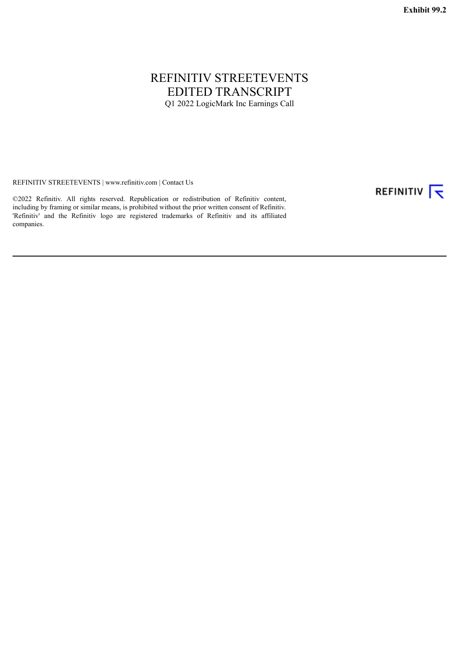# <span id="page-8-0"></span>REFINITIV STREETEVENTS EDITED TRANSCRIPT Q1 2022 LogicMark Inc Earnings Call

REFINITIV STREETEVENTS | www.refinitiv.com | Contact Us

©2022 Refinitiv. All rights reserved. Republication or redistribution of Refinitiv content, including by framing or similar means, is prohibited without the prior written consent of Refinitiv. 'Refinitiv' and the Refinitiv logo are registered trademarks of Refinitiv and its affiliated companies.

REFINITIV T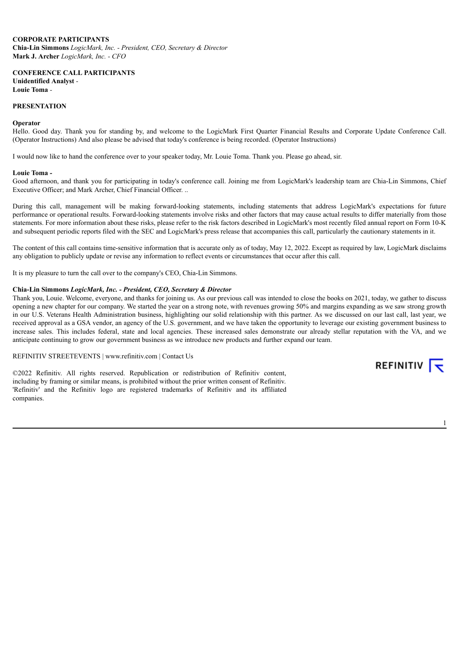## **CORPORATE PARTICIPANTS**

**Chia-Lin Simmons** *LogicMark, Inc. - President, CEO, Secretary & Director* **Mark J. Archer** *LogicMark, Inc. - CFO*

**CONFERENCE CALL PARTICIPANTS Unidentified Analyst** *-* **Louie Toma** *-*

#### **PRESENTATION**

#### **Operator**

Hello. Good day. Thank you for standing by, and welcome to the LogicMark First Quarter Financial Results and Corporate Update Conference Call. (Operator Instructions) And also please be advised that today's conference is being recorded. (Operator Instructions)

I would now like to hand the conference over to your speaker today, Mr. Louie Toma. Thank you. Please go ahead, sir.

#### **Louie Toma** *-*

Good afternoon, and thank you for participating in today's conference call. Joining me from LogicMark's leadership team are Chia-Lin Simmons, Chief Executive Officer; and Mark Archer, Chief Financial Officer. ..

During this call, management will be making forward-looking statements, including statements that address LogicMark's expectations for future performance or operational results. Forward-looking statements involve risks and other factors that may cause actual results to differ materially from those statements. For more information about these risks, please refer to the risk factors described in LogicMark's most recently filed annual report on Form 10-K and subsequent periodic reports filed with the SEC and LogicMark's press release that accompanies this call, particularly the cautionary statements in it.

The content of this call contains time-sensitive information that is accurate only as of today, May 12, 2022. Except as required by law, LogicMark disclaims any obligation to publicly update or revise any information to reflect events or circumstances that occur after this call.

It is my pleasure to turn the call over to the company's CEO, Chia-Lin Simmons.

#### **Chia-Lin Simmons** *LogicMark, Inc. - President, CEO, Secretary & Director*

Thank you, Louie. Welcome, everyone, and thanks for joining us. As our previous call was intended to close the books on 2021, today, we gather to discuss opening a new chapter for our company. We started the year on a strong note, with revenues growing 50% and margins expanding as we saw strong growth in our U.S. Veterans Health Administration business, highlighting our solid relationship with this partner. As we discussed on our last call, last year, we received approval as a GSA vendor, an agency of the U.S. government, and we have taken the opportunity to leverage our existing government business to increase sales. This includes federal, state and local agencies. These increased sales demonstrate our already stellar reputation with the VA, and we anticipate continuing to grow our government business as we introduce new products and further expand our team.

# REFINITIV STREETEVENTS | www.refinitiv.com | Contact Us

©2022 Refinitiv. All rights reserved. Republication or redistribution of Refinitiv content, including by framing or similar means, is prohibited without the prior written consent of Refinitiv. 'Refinitiv' and the Refinitiv logo are registered trademarks of Refinitiv and its affiliated companies.

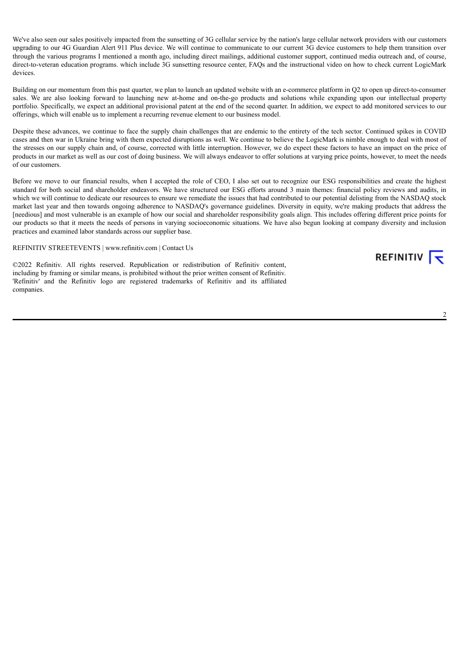We've also seen our sales positively impacted from the sunsetting of 3G cellular service by the nation's large cellular network providers with our customers upgrading to our 4G Guardian Alert 911 Plus device. We will continue to communicate to our current 3G device customers to help them transition over through the various programs I mentioned a month ago, including direct mailings, additional customer support, continued media outreach and, of course, direct-to-veteran education programs. which include 3G sunsetting resource center, FAQs and the instructional video on how to check current LogicMark devices.

Building on our momentum from this past quarter, we plan to launch an updated website with an e-commerce platform in Q2 to open up direct-to-consumer sales. We are also looking forward to launching new at-home and on-the-go products and solutions while expanding upon our intellectual property portfolio. Specifically, we expect an additional provisional patent at the end of the second quarter. In addition, we expect to add monitored services to our offerings, which will enable us to implement a recurring revenue element to our business model.

Despite these advances, we continue to face the supply chain challenges that are endemic to the entirety of the tech sector. Continued spikes in COVID cases and then war in Ukraine bring with them expected disruptions as well. We continue to believe the LogicMark is nimble enough to deal with most of the stresses on our supply chain and, of course, corrected with little interruption. However, we do expect these factors to have an impact on the price of products in our market as well as our cost of doing business. We will always endeavor to offer solutions at varying price points, however, to meet the needs of our customers.

Before we move to our financial results, when I accepted the role of CEO, I also set out to recognize our ESG responsibilities and create the highest standard for both social and shareholder endeavors. We have structured our ESG efforts around 3 main themes: financial policy reviews and audits, in which we will continue to dedicate our resources to ensure we remediate the issues that had contributed to our potential delisting from the NASDAQ stock market last year and then towards ongoing adherence to NASDAQ's governance guidelines. Diversity in equity, we're making products that address the [needious] and most vulnerable is an example of how our social and shareholder responsibility goals align. This includes offering different price points for our products so that it meets the needs of persons in varying socioeconomic situations. We have also begun looking at company diversity and inclusion practices and examined labor standards across our supplier base.

#### REFINITIV STREETEVENTS | www.refinitiv.com | Contact Us

©2022 Refinitiv. All rights reserved. Republication or redistribution of Refinitiv content, including by framing or similar means, is prohibited without the prior written consent of Refinitiv. 'Refinitiv' and the Refinitiv logo are registered trademarks of Refinitiv and its affiliated companies.

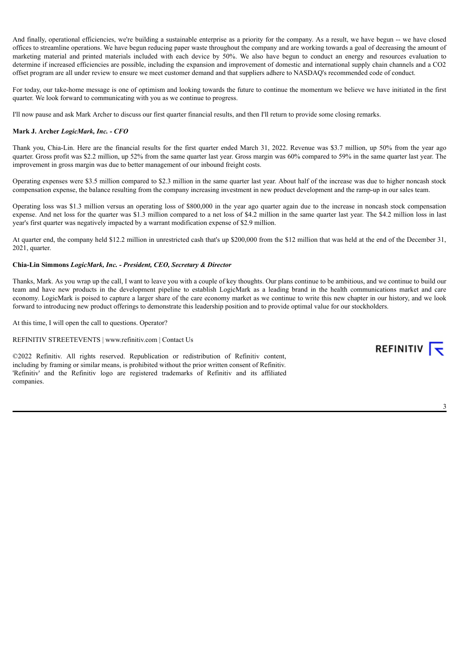And finally, operational efficiencies, we're building a sustainable enterprise as a priority for the company. As a result, we have begun -- we have closed offices to streamline operations. We have begun reducing paper waste throughout the company and are working towards a goal of decreasing the amount of marketing material and printed materials included with each device by 50%. We also have begun to conduct an energy and resources evaluation to determine if increased efficiencies are possible, including the expansion and improvement of domestic and international supply chain channels and a CO2 offset program are all under review to ensure we meet customer demand and that suppliers adhere to NASDAQ's recommended code of conduct.

For today, our take-home message is one of optimism and looking towards the future to continue the momentum we believe we have initiated in the first quarter. We look forward to communicating with you as we continue to progress.

I'll now pause and ask Mark Archer to discuss our first quarter financial results, and then I'll return to provide some closing remarks.

# **Mark J. Archer** *LogicMark, Inc. - CFO*

Thank you, Chia-Lin. Here are the financial results for the first quarter ended March 31, 2022. Revenue was \$3.7 million, up 50% from the year ago quarter. Gross profit was \$2.2 million, up 52% from the same quarter last year. Gross margin was 60% compared to 59% in the same quarter last year. The improvement in gross margin was due to better management of our inbound freight costs.

Operating expenses were \$3.5 million compared to \$2.3 million in the same quarter last year. About half of the increase was due to higher noncash stock compensation expense, the balance resulting from the company increasing investment in new product development and the ramp-up in our sales team.

Operating loss was \$1.3 million versus an operating loss of \$800,000 in the year ago quarter again due to the increase in noncash stock compensation expense. And net loss for the quarter was \$1.3 million compared to a net loss of \$4.2 million in the same quarter last year. The \$4.2 million loss in last year's first quarter was negatively impacted by a warrant modification expense of \$2.9 million.

At quarter end, the company held \$12.2 million in unrestricted cash that's up \$200,000 from the \$12 million that was held at the end of the December 31, 2021, quarter.

#### **Chia-Lin Simmons** *LogicMark, Inc. - President, CEO, Secretary & Director*

Thanks, Mark. As you wrap up the call, I want to leave you with a couple of key thoughts. Our plans continue to be ambitious, and we continue to build our team and have new products in the development pipeline to establish LogicMark as a leading brand in the health communications market and care economy. LogicMark is poised to capture a larger share of the care economy market as we continue to write this new chapter in our history, and we look forward to introducing new product offerings to demonstrate this leadership position and to provide optimal value for our stockholders.

At this time, I will open the call to questions. Operator?

REFINITIV STREETEVENTS | www.refinitiv.com | Contact Us

©2022 Refinitiv. All rights reserved. Republication or redistribution of Refinitiv content, including by framing or similar means, is prohibited without the prior written consent of Refinitiv. 'Refinitiv' and the Refinitiv logo are registered trademarks of Refinitiv and its affiliated companies.

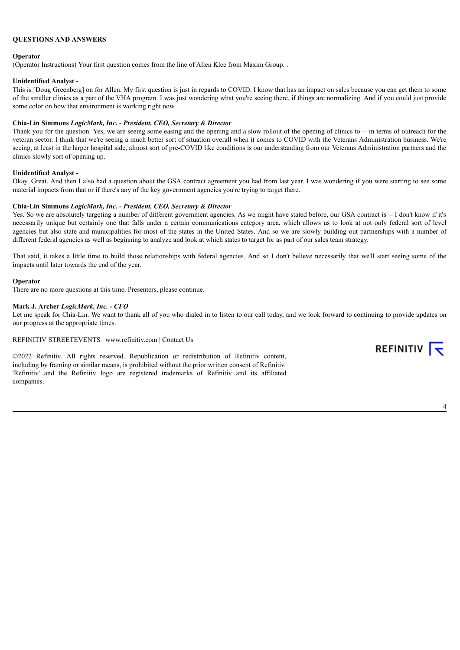# **QUESTIONS AND ANSWERS**

#### **Operator**

(Operator Instructions) Your first question comes from the line of Allen Klee from Maxim Group. .

### **Unidentified Analyst** *-*

This is [Doug Greenberg] on for Allen. My first question is just in regards to COVID. I know that has an impact on sales because you can get them to some of the smaller clinics as a part of the VHA program. I was just wondering what you're seeing there, if things are normalizing. And if you could just provide some color on how that environment is working right now.

# **Chia-Lin Simmons** *LogicMark, Inc. - President, CEO, Secretary & Director*

Thank you for the question. Yes, we are seeing some easing and the opening and a slow rollout of the opening of clinics to -- in terms of outreach for the veteran sector. I think that we're seeing a much better sort of situation overall when it comes to COVID with the Veterans Administration business. We're seeing, at least in the larger hospital side, almost sort of pre-COVID like conditions is our understanding from our Veterans Administration partners and the clinics slowly sort of opening up.

#### **Unidentified Analyst** *-*

Okay. Great. And then I also had a question about the GSA contract agreement you had from last year. I was wondering if you were starting to see some material impacts from that or if there's any of the key government agencies you're trying to target there.

# **Chia-Lin Simmons** *LogicMark, Inc. - President, CEO, Secretary & Director*

Yes. So we are absolutely targeting a number of different government agencies. As we might have stated before, our GSA contract is -- I don't know if it's necessarily unique but certainly one that falls under a certain communications category area, which allows us to look at not only federal sort of level agencies but also state and municipalities for most of the states in the United States. And so we are slowly building out partnerships with a number of different federal agencies as well as beginning to analyze and look at which states to target for as part of our sales team strategy.

That said, it takes a little time to build those relationships with federal agencies. And so I don't believe necessarily that we'll start seeing some of the impacts until later towards the end of the year.

#### **Operator**

There are no more questions at this time. Presenters, please continue.

#### **Mark J. Archer** *LogicMark, Inc. - CFO*

Let me speak for Chia-Lin. We want to thank all of you who dialed in to listen to our call today, and we look forward to continuing to provide updates on our progress at the appropriate times.

#### REFINITIV STREETEVENTS | www.refinitiv.com | Contact Us

©2022 Refinitiv. All rights reserved. Republication or redistribution of Refinitiv content, including by framing or similar means, is prohibited without the prior written consent of Refinitiv. 'Refinitiv' and the Refinitiv logo are registered trademarks of Refinitiv and its affiliated companies.